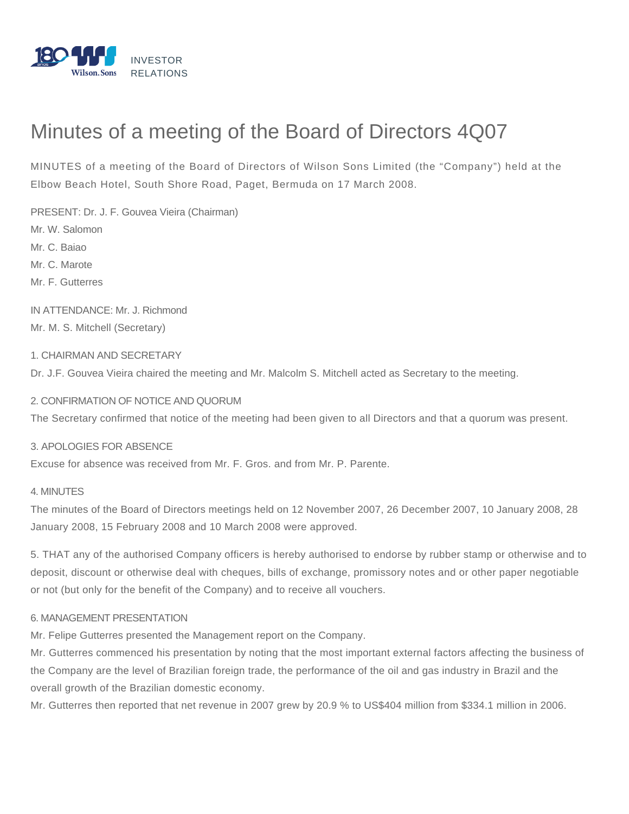

# Minutes of a meeting of the Board of Directors 4Q07

MINUTES of a meeting of the Board of Directors of Wilson Sons Limited (the "Company") held at the Elbow Beach Hotel, South Shore Road, Paget, Bermuda on 17 March 2008.

PRESENT: Dr. J. F. Gouvea Vieira (Chairman) Mr. W. Salomon Mr. C. Baiao Mr. C. Marote Mr. F. Gutterres

IN ATTENDANCE: Mr. J. Richmond Mr. M. S. Mitchell (Secretary)

# 1. CHAIRMAN AND SECRETARY

Dr. J.F. Gouvea Vieira chaired the meeting and Mr. Malcolm S. Mitchell acted as Secretary to the meeting.

### 2. CONFIRMATION OF NOTICE AND QUORUM

The Secretary confirmed that notice of the meeting had been given to all Directors and that a quorum was present.

#### 3. APOLOGIES FOR ABSENCE

Excuse for absence was received from Mr. F. Gros. and from Mr. P. Parente.

### 4. MINUTES

The minutes of the Board of Directors meetings held on 12 November 2007, 26 December 2007, 10 January 2008, 28 January 2008, 15 February 2008 and 10 March 2008 were approved.

5. THAT any of the authorised Company officers is hereby authorised to endorse by rubber stamp or otherwise and to deposit, discount or otherwise deal with cheques, bills of exchange, promissory notes and or other paper negotiable or not (but only for the benefit of the Company) and to receive all vouchers.

### 6. MANAGEMENT PRESENTATION

Mr. Felipe Gutterres presented the Management report on the Company.

Mr. Gutterres commenced his presentation by noting that the most important external factors affecting the business of the Company are the level of Brazilian foreign trade, the performance of the oil and gas industry in Brazil and the overall growth of the Brazilian domestic economy.

Mr. Gutterres then reported that net revenue in 2007 grew by 20.9 % to US\$404 million from \$334.1 million in 2006.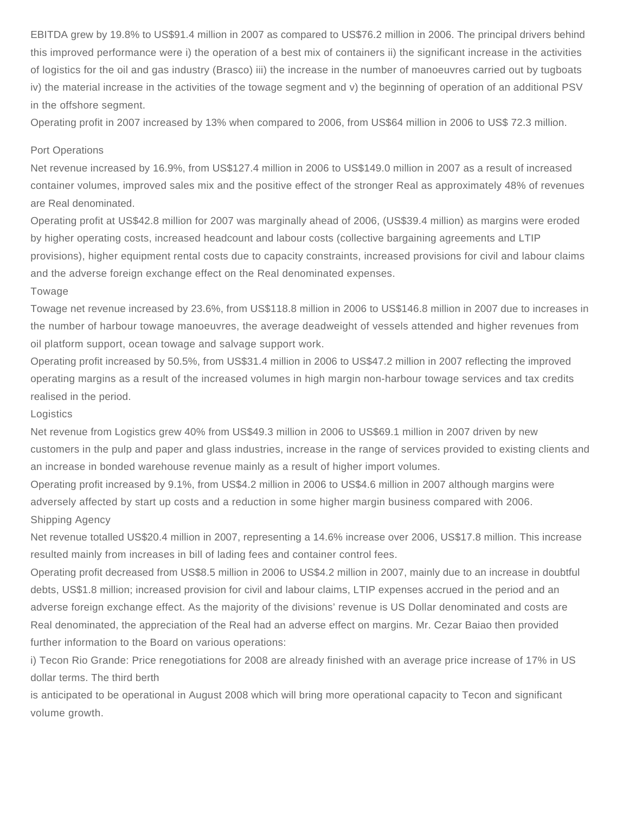EBITDA grew by 19.8% to US\$91.4 million in 2007 as compared to US\$76.2 million in 2006. The principal drivers behind this improved performance were i) the operation of a best mix of containers ii) the significant increase in the activities of logistics for the oil and gas industry (Brasco) iii) the increase in the number of manoeuvres carried out by tugboats iv) the material increase in the activities of the towage segment and v) the beginning of operation of an additional PSV in the offshore segment.

Operating profit in 2007 increased by 13% when compared to 2006, from US\$64 million in 2006 to US\$ 72.3 million.

#### Port Operations

Net revenue increased by 16.9%, from US\$127.4 million in 2006 to US\$149.0 million in 2007 as a result of increased container volumes, improved sales mix and the positive effect of the stronger Real as approximately 48% of revenues are Real denominated.

Operating profit at US\$42.8 million for 2007 was marginally ahead of 2006, (US\$39.4 million) as margins were eroded by higher operating costs, increased headcount and labour costs (collective bargaining agreements and LTIP provisions), higher equipment rental costs due to capacity constraints, increased provisions for civil and labour claims and the adverse foreign exchange effect on the Real denominated expenses.

#### Towage

Towage net revenue increased by 23.6%, from US\$118.8 million in 2006 to US\$146.8 million in 2007 due to increases in the number of harbour towage manoeuvres, the average deadweight of vessels attended and higher revenues from oil platform support, ocean towage and salvage support work.

Operating profit increased by 50.5%, from US\$31.4 million in 2006 to US\$47.2 million in 2007 reflecting the improved operating margins as a result of the increased volumes in high margin non-harbour towage services and tax credits realised in the period.

#### **Logistics**

Net revenue from Logistics grew 40% from US\$49.3 million in 2006 to US\$69.1 million in 2007 driven by new customers in the pulp and paper and glass industries, increase in the range of services provided to existing clients and an increase in bonded warehouse revenue mainly as a result of higher import volumes.

Operating profit increased by 9.1%, from US\$4.2 million in 2006 to US\$4.6 million in 2007 although margins were adversely affected by start up costs and a reduction in some higher margin business compared with 2006. Shipping Agency

Net revenue totalled US\$20.4 million in 2007, representing a 14.6% increase over 2006, US\$17.8 million. This increase resulted mainly from increases in bill of lading fees and container control fees.

Operating profit decreased from US\$8.5 million in 2006 to US\$4.2 million in 2007, mainly due to an increase in doubtful debts, US\$1.8 million; increased provision for civil and labour claims, LTIP expenses accrued in the period and an adverse foreign exchange effect. As the majority of the divisions' revenue is US Dollar denominated and costs are Real denominated, the appreciation of the Real had an adverse effect on margins. Mr. Cezar Baiao then provided further information to the Board on various operations:

i) Tecon Rio Grande: Price renegotiations for 2008 are already finished with an average price increase of 17% in US dollar terms. The third berth

is anticipated to be operational in August 2008 which will bring more operational capacity to Tecon and significant volume growth.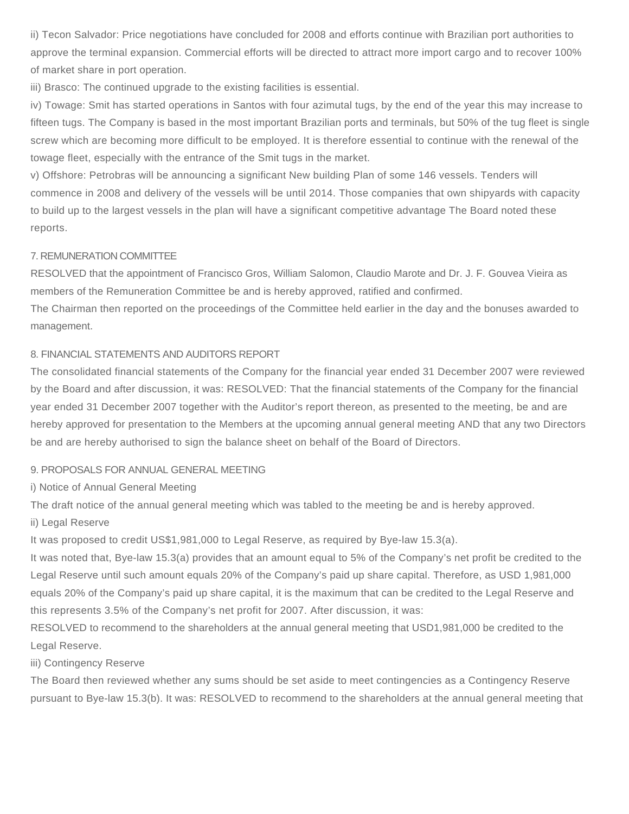ii) Tecon Salvador: Price negotiations have concluded for 2008 and efforts continue with Brazilian port authorities to approve the terminal expansion. Commercial efforts will be directed to attract more import cargo and to recover 100% of market share in port operation.

iii) Brasco: The continued upgrade to the existing facilities is essential.

iv) Towage: Smit has started operations in Santos with four azimutal tugs, by the end of the year this may increase to fifteen tugs. The Company is based in the most important Brazilian ports and terminals, but 50% of the tug fleet is single screw which are becoming more difficult to be employed. It is therefore essential to continue with the renewal of the towage fleet, especially with the entrance of the Smit tugs in the market.

v) Offshore: Petrobras will be announcing a significant New building Plan of some 146 vessels. Tenders will commence in 2008 and delivery of the vessels will be until 2014. Those companies that own shipyards with capacity to build up to the largest vessels in the plan will have a significant competitive advantage The Board noted these reports.

# 7. REMUNERATION COMMITTEE

RESOLVED that the appointment of Francisco Gros, William Salomon, Claudio Marote and Dr. J. F. Gouvea Vieira as members of the Remuneration Committee be and is hereby approved, ratified and confirmed.

The Chairman then reported on the proceedings of the Committee held earlier in the day and the bonuses awarded to management.

# 8. FINANCIAL STATEMENTS AND AUDITORS REPORT

The consolidated financial statements of the Company for the financial year ended 31 December 2007 were reviewed by the Board and after discussion, it was: RESOLVED: That the financial statements of the Company for the financial year ended 31 December 2007 together with the Auditor's report thereon, as presented to the meeting, be and are hereby approved for presentation to the Members at the upcoming annual general meeting AND that any two Directors be and are hereby authorised to sign the balance sheet on behalf of the Board of Directors.

# 9. PROPOSALS FOR ANNUAL GENERAL MEETING

i) Notice of Annual General Meeting

The draft notice of the annual general meeting which was tabled to the meeting be and is hereby approved.

# ii) Legal Reserve

It was proposed to credit US\$1,981,000 to Legal Reserve, as required by Bye-law 15.3(a).

It was noted that, Bye-law 15.3(a) provides that an amount equal to 5% of the Company's net profit be credited to the Legal Reserve until such amount equals 20% of the Company's paid up share capital. Therefore, as USD 1,981,000 equals 20% of the Company's paid up share capital, it is the maximum that can be credited to the Legal Reserve and this represents 3.5% of the Company's net profit for 2007. After discussion, it was:

RESOLVED to recommend to the shareholders at the annual general meeting that USD1,981,000 be credited to the Legal Reserve.

# iii) Contingency Reserve

The Board then reviewed whether any sums should be set aside to meet contingencies as a Contingency Reserve pursuant to Bye-law 15.3(b). It was: RESOLVED to recommend to the shareholders at the annual general meeting that